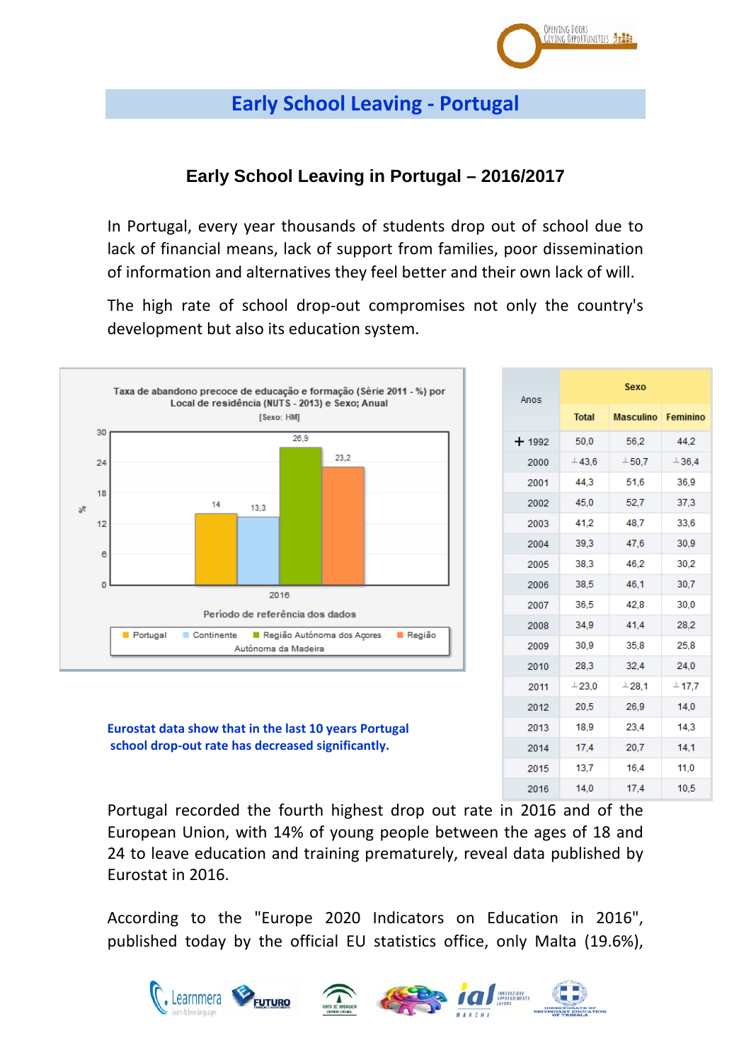

# **Early School Leaving - Portugal**

## **Early School Leaving in Portugal – 2016/2017**

In Portugal, every year thousands of students drop out of school due to lack of financial means, lack of support from families, poor dissemination of information and alternatives they feel better and their own lack of will.

The high rate of school drop-out compromises not only the country's development but also its education system.



**Eurostat data show that in the last 10 years Portugal school drop-out rate has decreased significantly.**

| Anos    | Sexo         |                  |          |  |
|---------|--------------|------------------|----------|--|
|         | <b>Total</b> | <b>Masculino</b> | Feminino |  |
| $+1992$ | 50,0         | 56,2             | 44.2     |  |
| 2000    | $-43.6$      | $+50.7$          | 136,4    |  |
| 2001    | 44,3         | 51,6             | 36,9     |  |
| 2002    | 45,0         | 52,7             | 37,3     |  |
| 2003    | 41,2         | 48,7             | 33,6     |  |
| 2004    | 39,3         | 47,6             | 30,9     |  |
| 2005    | 38.3         | 46.2             | 30,2     |  |
| 2006    | 38,5         | 46,1             | 30,7     |  |
| 2007    | 36,5         | 42.8             | 30,0     |  |
| 2008    | 34,9         | 41,4             | 28,2     |  |
| 2009    | 30,9         | 35,8             | 25,8     |  |
| 2010    | 28,3         | 32,4             | 24,0     |  |
| 2011    | 123,0        | 128,1            | $-17.7$  |  |
| 2012    | 20,5         | 26,9             | 14,0     |  |
| 2013    | 18,9         | 23,4             | 14,3     |  |
| 2014    | 17,4         | 20,7             | 14,1     |  |
| 2015    | 13,7         | 16,4             | 11,0     |  |
| 2016    | 14,0         | 17,4             | 10,5     |  |

Portugal recorded the fourth highest drop out rate in 2016 and of the European Union, with 14% of young people between the ages of 18 and 24 to leave education and training prematurely, reveal data published by Eurostat in 2016.

According to the "Europe 2020 Indicators on Education in 2016", published today by the official EU statistics office, only Malta (19.6%),







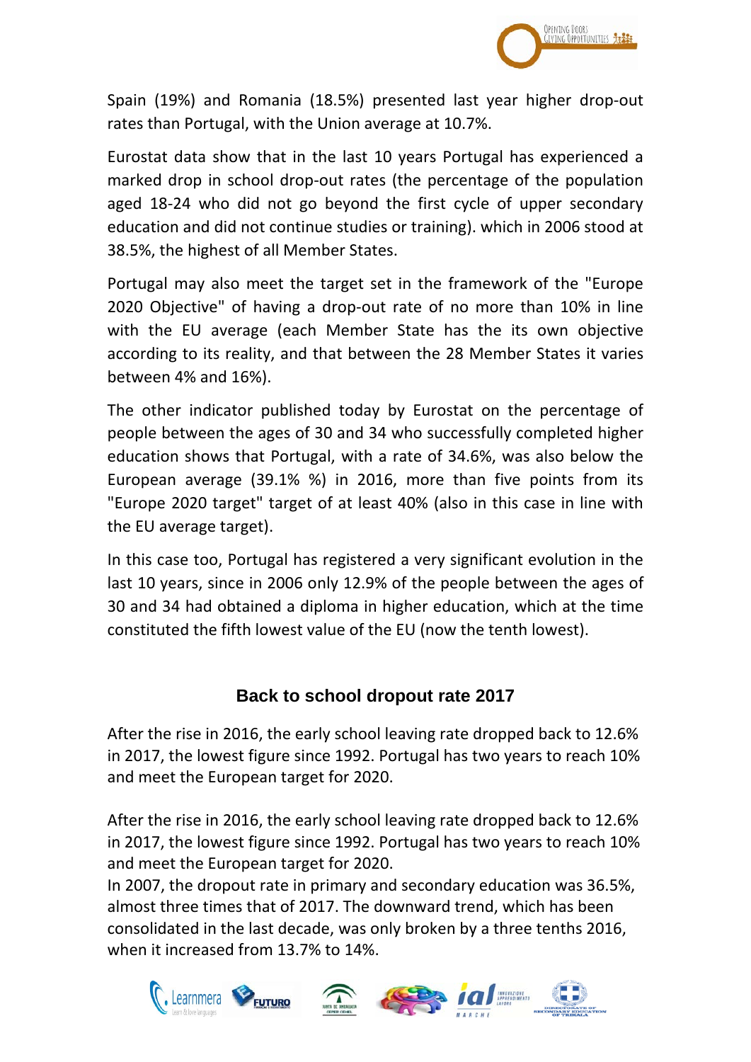

Spain (19%) and Romania (18.5%) presented last year higher drop-out rates than Portugal, with the Union average at 10.7%.

Eurostat data show that in the last 10 years Portugal has experienced a marked drop in school drop-out rates (the percentage of the population aged 18-24 who did not go beyond the first cycle of upper secondary education and did not continue studies or training). which in 2006 stood at 38.5%, the highest of all Member States.

Portugal may also meet the target set in the framework of the "Europe 2020 Objective" of having a drop-out rate of no more than 10% in line with the EU average (each Member State has the its own objective according to its reality, and that between the 28 Member States it varies between 4% and 16%).

The other indicator published today by Eurostat on the percentage of people between the ages of 30 and 34 who successfully completed higher education shows that Portugal, with a rate of 34.6%, was also below the European average (39.1% %) in 2016, more than five points from its "Europe 2020 target" target of at least 40% (also in this case in line with the EU average target).

In this case too, Portugal has registered a very significant evolution in the last 10 years, since in 2006 only 12.9% of the people between the ages of 30 and 34 had obtained a diploma in higher education, which at the time constituted the fifth lowest value of the EU (now the tenth lowest).

## **Back to school dropout rate 2017**

After the rise in 2016, the early school leaving rate dropped back to 12.6% in 2017, the lowest figure since 1992. Portugal has two years to reach 10% and meet the European target for 2020.

After the rise in 2016, the early school leaving rate dropped back to 12.6% in 2017, the lowest figure since 1992. Portugal has two years to reach 10% and meet the European target for 2020.

In 2007, the dropout rate in primary and secondary education was 36.5%, almost three times that of 2017. The downward trend, which has been consolidated in the last decade, was only broken by a three tenths 2016, when it increased from 13.7% to 14%.

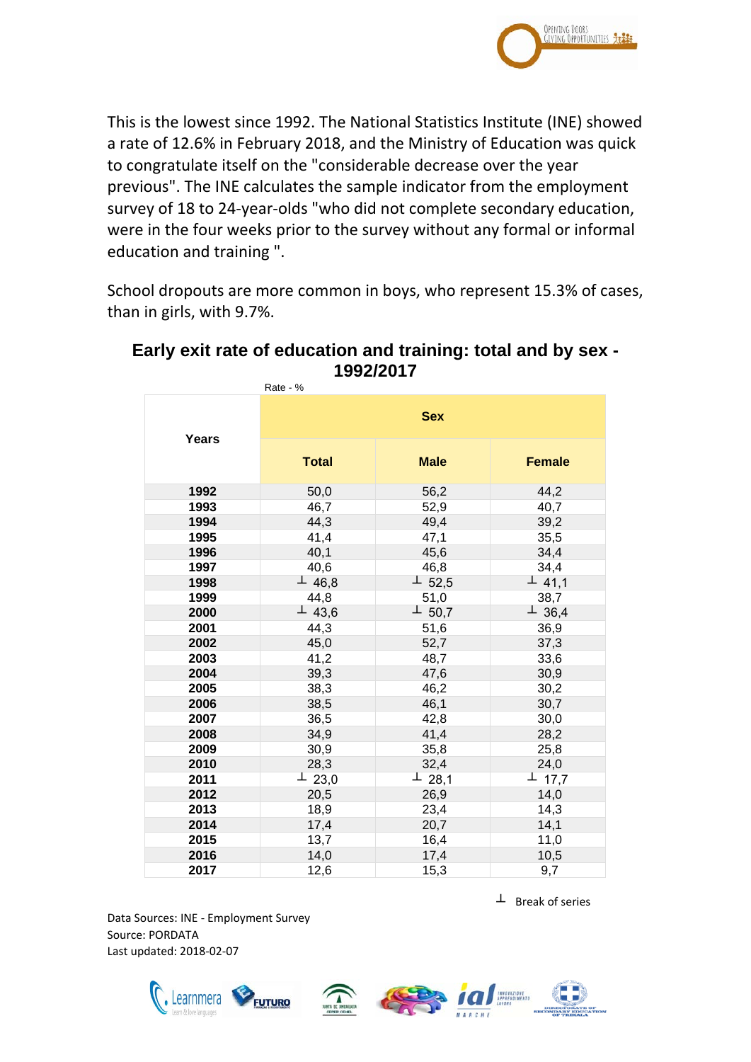

This is the lowest since 1992. The National Statistics Institute (INE) showed a rate of 12.6% in February 2018, and the Ministry of Education was quick to congratulate itself on the "considerable decrease over the year previous". The INE calculates the sample indicator from the employment survey of 18 to 24-year-olds "who did not complete secondary education, were in the four weeks prior to the survey without any formal or informal education and training ".

School dropouts are more common in boys, who represent 15.3% of cases, than in girls, with 9.7%.

|       | Rate - %     |              |               |  |
|-------|--------------|--------------|---------------|--|
| Years | <b>Sex</b>   |              |               |  |
|       | <b>Total</b> | <b>Male</b>  | <b>Female</b> |  |
| 1992  | 50,0         | 56,2         | 44,2          |  |
| 1993  | 46,7         | 52,9         | 40,7          |  |
| 1994  | 44,3         | 49,4         | 39,2          |  |
| 1995  | 41,4         | 47,1         | 35,5          |  |
| 1996  | 40,1         | 45,6         | 34,4          |  |
| 1997  | 40,6         | 46,8<br>34,4 |               |  |
| 1998  | $\perp$ 46,8 | $\perp$ 52,5 | $\perp$ 41,1  |  |
| 1999  | 44,8         | 51,0         | 38,7          |  |
| 2000  | $\perp$ 43,6 | $\perp$ 50,7 | $\perp$ 36,4  |  |
| 2001  | 44,3         | 51,6         | 36,9          |  |
| 2002  | 45,0         | 52,7         | 37,3          |  |
| 2003  | 41,2         | 48,7         | 33,6          |  |
| 2004  | 39,3         | 47,6         | 30,9          |  |
| 2005  | 38,3         | 46,2         | 30,2          |  |
| 2006  | 38,5         | 46,1         | 30,7          |  |
| 2007  | 36,5         | 42,8<br>30,0 |               |  |
| 2008  | 34,9         | 41,4         | 28,2          |  |
| 2009  | 30,9         | 35,8         | 25,8          |  |
| 2010  | 28,3         | 32,4         | 24,0          |  |
| 2011  | $\perp$ 23,0 | $\perp$ 28,1 | $\perp$ 17,7  |  |
| 2012  | 20,5         | 26,9         | 14,0          |  |
| 2013  | 18,9         | 23,4         | 14,3          |  |
| 2014  | 17,4         | 20,7         | 14,1          |  |
| 2015  | 13,7         | 16,4         | 11,0          |  |
| 2016  | 14,0         | 17,4         | 10,5          |  |
| 2017  | 12,6         | 15,3         | 9,7           |  |

## **Early exit rate of education and training: total and by sex - 1992/2017**

 $\perp$  Break of series

Data Sources: INE - Employment Survey Source: PORDATA Last updated: 2018-02-07







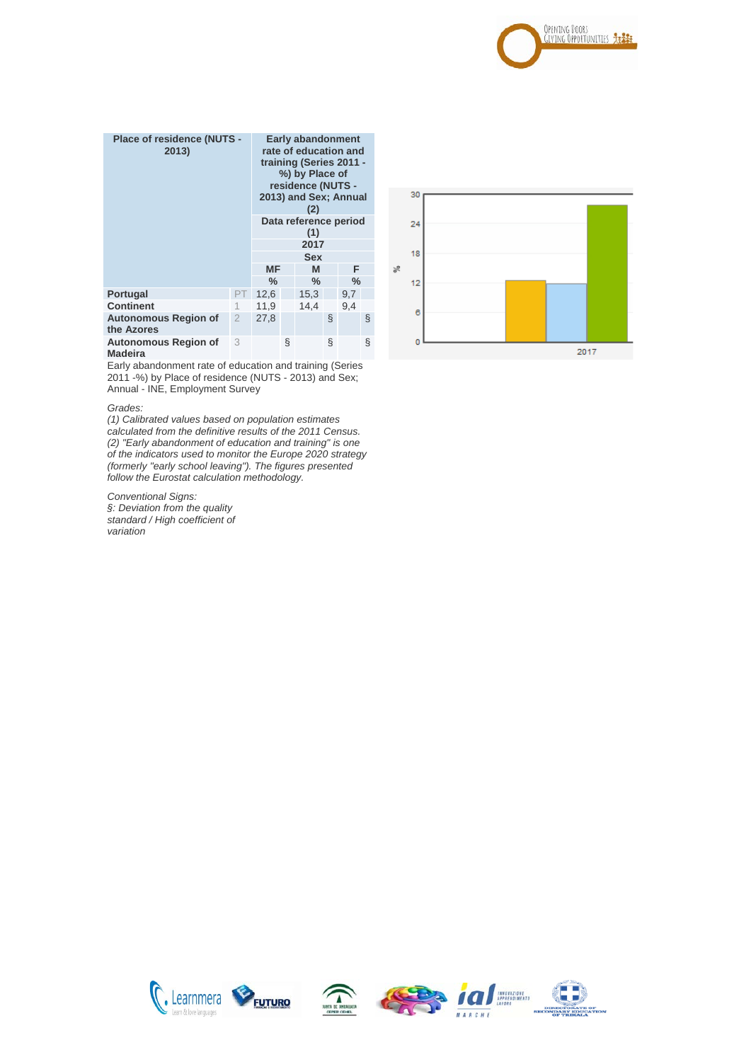

| <b>Place of residence (NUTS -</b><br>2013) |               | <b>Early abandonment</b><br>rate of education and<br>training (Series 2011 -<br>%) by Place of<br>residence (NUTS -<br>2013) and Sex; Annual<br>(2)<br>Data reference period |   |      |   |     |   |
|--------------------------------------------|---------------|------------------------------------------------------------------------------------------------------------------------------------------------------------------------------|---|------|---|-----|---|
|                                            |               | (1)                                                                                                                                                                          |   |      |   |     |   |
|                                            |               | 2017                                                                                                                                                                         |   |      |   |     |   |
|                                            |               | <b>Sex</b>                                                                                                                                                                   |   |      |   |     |   |
|                                            |               | ΜF                                                                                                                                                                           |   | M    |   | F   |   |
|                                            |               | $\%$<br>℅<br>$\%$                                                                                                                                                            |   |      |   |     |   |
| <b>Portugal</b>                            | PТ            | 12,6                                                                                                                                                                         |   | 15,3 |   | 9,7 |   |
| <b>Continent</b>                           |               | 11.9                                                                                                                                                                         |   | 14.4 |   | 9.4 |   |
| <b>Autonomous Region of</b><br>the Azores  | $\mathcal{P}$ | 27,8                                                                                                                                                                         |   |      | ş |     | ş |
| <b>Autonomous Region of</b><br>Madeira     | 3             |                                                                                                                                                                              | ş |      | Ş |     | Ş |

Early abandonment rate of education and training (Series 2011 -%) by Place of residence (NUTS - 2013) and Sex; Annual - INE, Employment Survey

#### *Grades:*

*(1) Calibrated values based on population estimates calculated from the definitive results of the 2011 Census. (2) "Early abandonment of education and training" is one of the indicators used to monitor the Europe 2020 strategy (formerly "early school leaving"). The figures presented follow the Eurostat calculation methodology.*

*Conventional Signs: §: Deviation from the quality standard / High coefficient of variation*









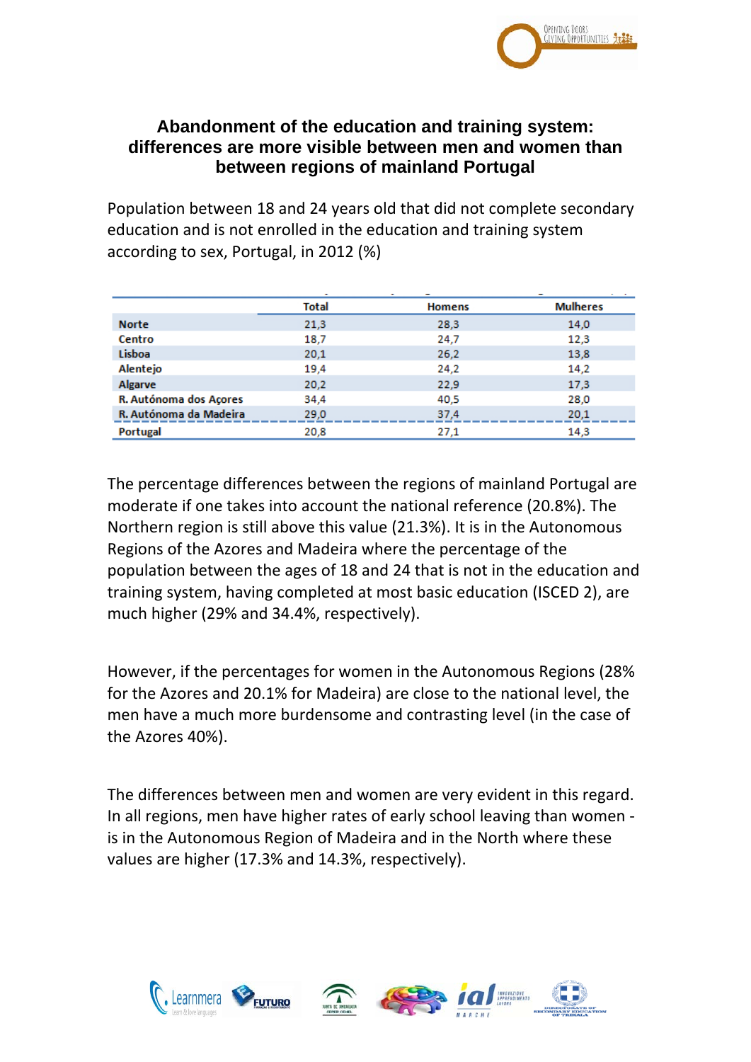

### **Abandonment of the education and training system: differences are more visible between men and women than between regions of mainland Portugal**

Population between 18 and 24 years old that did not complete secondary education and is not enrolled in the education and training system according to sex, Portugal, in 2012 (%)

|                        | <b>Total</b> | <b>Homens</b> | <b>Mulheres</b> |
|------------------------|--------------|---------------|-----------------|
| <b>Norte</b>           | 21,3         | 28,3          | 14.0            |
| Centro                 | 18,7         | 24,7          | 12,3            |
| Lisboa                 | 20,1         | 26,2          | 13,8            |
| Alentejo               | 19,4         | 24,2          | 14,2            |
| Algarve                | 20,2         | 22,9          | 17,3            |
| R. Autónoma dos Açores | 34,4         | 40,5          | 28.0            |
| R. Autónoma da Madeira | 29.0         | 37.4          | 20.1            |
| Portugal               | 20,8         | 27,1          | 14,3            |

The percentage differences between the regions of mainland Portugal are moderate if one takes into account the national reference (20.8%). The Northern region is still above this value (21.3%). It is in the Autonomous Regions of the Azores and Madeira where the percentage of the population between the ages of 18 and 24 that is not in the education and training system, having completed at most basic education (ISCED 2), are much higher (29% and 34.4%, respectively).

However, if the percentages for women in the Autonomous Regions (28% for the Azores and 20.1% for Madeira) are close to the national level, the men have a much more burdensome and contrasting level (in the case of the Azores 40%).

The differences between men and women are very evident in this regard. In all regions, men have higher rates of early school leaving than women is in the Autonomous Region of Madeira and in the North where these values are higher (17.3% and 14.3%, respectively).

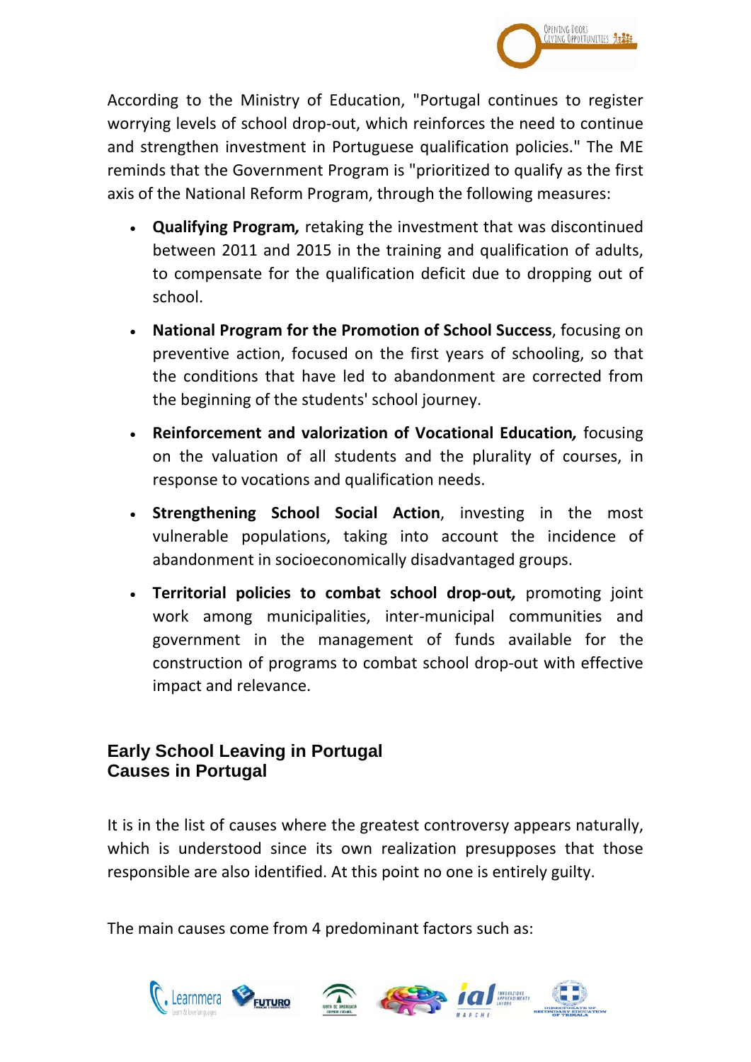

According to the Ministry of Education, "Portugal continues to register worrying levels of school drop-out, which reinforces the need to continue and strengthen investment in Portuguese qualification policies." The ME reminds that the Government Program is "prioritized to qualify as the first axis of the National Reform Program, through the following measures:

- **Qualifying Program***,* retaking the investment that was discontinued between 2011 and 2015 in the training and qualification of adults, to compensate for the qualification deficit due to dropping out of school.
- **National Program for the Promotion of School Success**, focusing on preventive action, focused on the first years of schooling, so that the conditions that have led to abandonment are corrected from the beginning of the students' school journey.
- **Reinforcement and valorization of Vocational Education***,* focusing on the valuation of all students and the plurality of courses, in response to vocations and qualification needs.
- **Strengthening School Social Action**, investing in the most vulnerable populations, taking into account the incidence of abandonment in socioeconomically disadvantaged groups.
- **Territorial policies to combat school drop-out***,* promoting joint work among municipalities, inter-municipal communities and government in the management of funds available for the construction of programs to combat school drop-out with effective impact and relevance.

## **Early School Leaving in Portugal Causes in Portugal**

It is in the list of causes where the greatest controversy appears naturally, which is understood since its own realization presupposes that those responsible are also identified. At this point no one is entirely guilty.

The main causes come from 4 predominant factors such as:

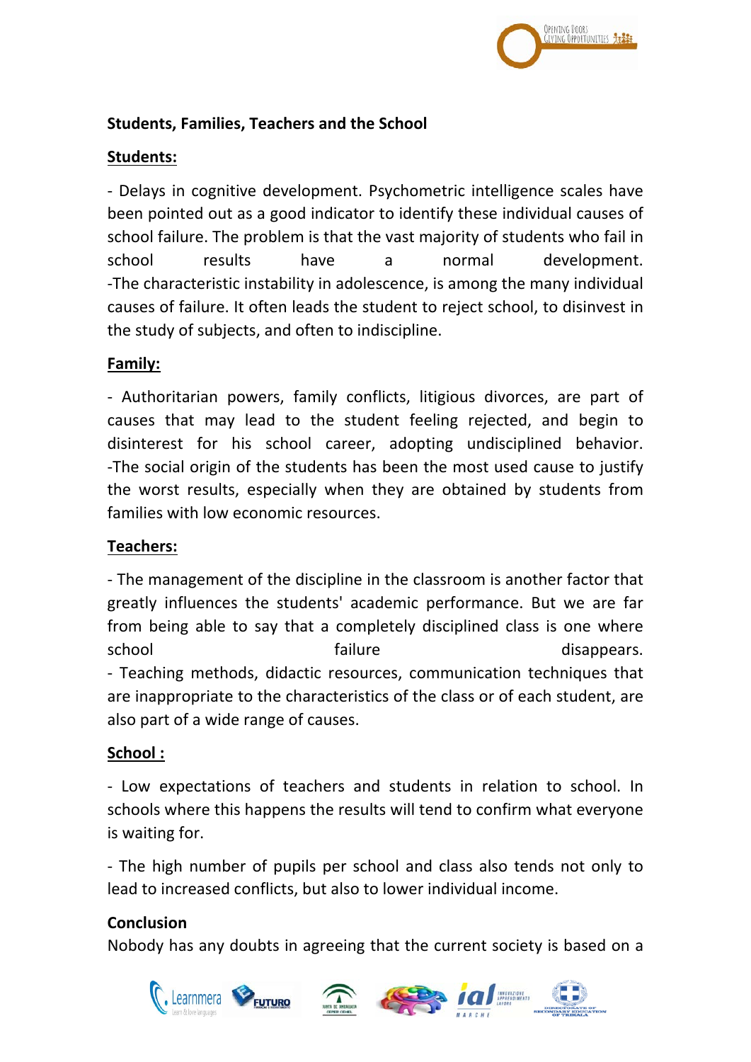

#### **Students, Families, Teachers and the School**

#### **Students:**

- Delays in cognitive development. Psychometric intelligence scales have been pointed out as a good indicator to identify these individual causes of school failure. The problem is that the vast majority of students who fail in school results have a normal development. -The characteristic instability in adolescence, is among the many individual causes of failure. It often leads the student to reject school, to disinvest in the study of subjects, and often to indiscipline.

### **Family:**

- Authoritarian powers, family conflicts, litigious divorces, are part of causes that may lead to the student feeling rejected, and begin to disinterest for his school career, adopting undisciplined behavior. -The social origin of the students has been the most used cause to justify the worst results, especially when they are obtained by students from families with low economic resources.

#### **Teachers:**

- The management of the discipline in the classroom is another factor that greatly influences the students' academic performance. But we are far from being able to say that a completely disciplined class is one where school failure failure disappears. - Teaching methods, didactic resources, communication techniques that are inappropriate to the characteristics of the class or of each student, are also part of a wide range of causes.

#### **School :**

- Low expectations of teachers and students in relation to school. In schools where this happens the results will tend to confirm what everyone is waiting for.

- The high number of pupils per school and class also tends not only to lead to increased conflicts, but also to lower individual income.

#### **Conclusion**

Nobody has any doubts in agreeing that the current society is based on a

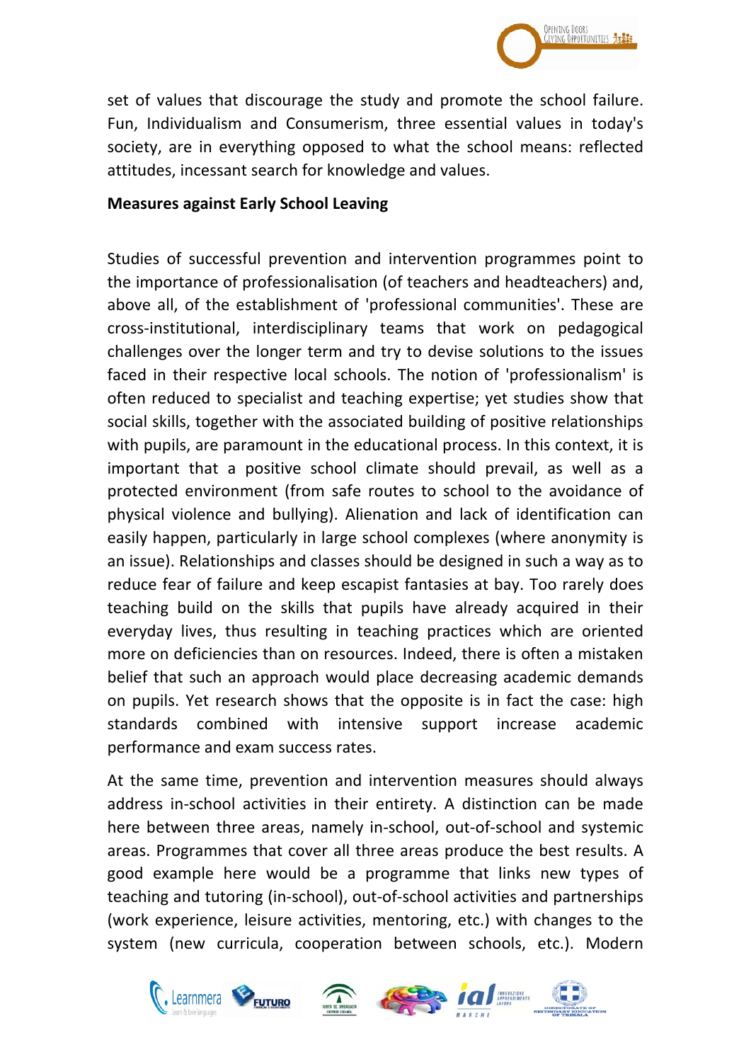

set of values that discourage the study and promote the school failure. Fun, Individualism and Consumerism, three essential values in today's society, are in everything opposed to what the school means: reflected attitudes, incessant search for knowledge and values.

#### **Measures against Early School Leaving**

Studies of successful prevention and intervention programmes point to the importance of professionalisation (of teachers and headteachers) and, above all, of the establishment of 'professional communities'. These are cross-institutional, interdisciplinary teams that work on pedagogical challenges over the longer term and try to devise solutions to the issues faced in their respective local schools. The notion of 'professionalism' is often reduced to specialist and teaching expertise; yet studies show that social skills, together with the associated building of positive relationships with pupils, are paramount in the educational process. In this context, it is important that a positive school climate should prevail, as well as a protected environment (from safe routes to school to the avoidance of physical violence and bullying). Alienation and lack of identification can easily happen, particularly in large school complexes (where anonymity is an issue). Relationships and classes should be designed in such a way as to reduce fear of failure and keep escapist fantasies at bay. Too rarely does teaching build on the skills that pupils have already acquired in their everyday lives, thus resulting in teaching practices which are oriented more on deficiencies than on resources. Indeed, there is often a mistaken belief that such an approach would place decreasing academic demands on pupils. Yet research shows that the opposite is in fact the case: high standards combined with intensive support increase academic performance and exam success rates.

At the same time, prevention and intervention measures should always address in-school activities in their entirety. A distinction can be made here between three areas, namely in-school, out-of-school and systemic areas. Programmes that cover all three areas produce the best results. A good example here would be a programme that links new types of teaching and tutoring (in-school), out-of-school activities and partnerships (work experience, leisure activities, mentoring, etc.) with changes to the system (new curricula, cooperation between schools, etc.). Modern